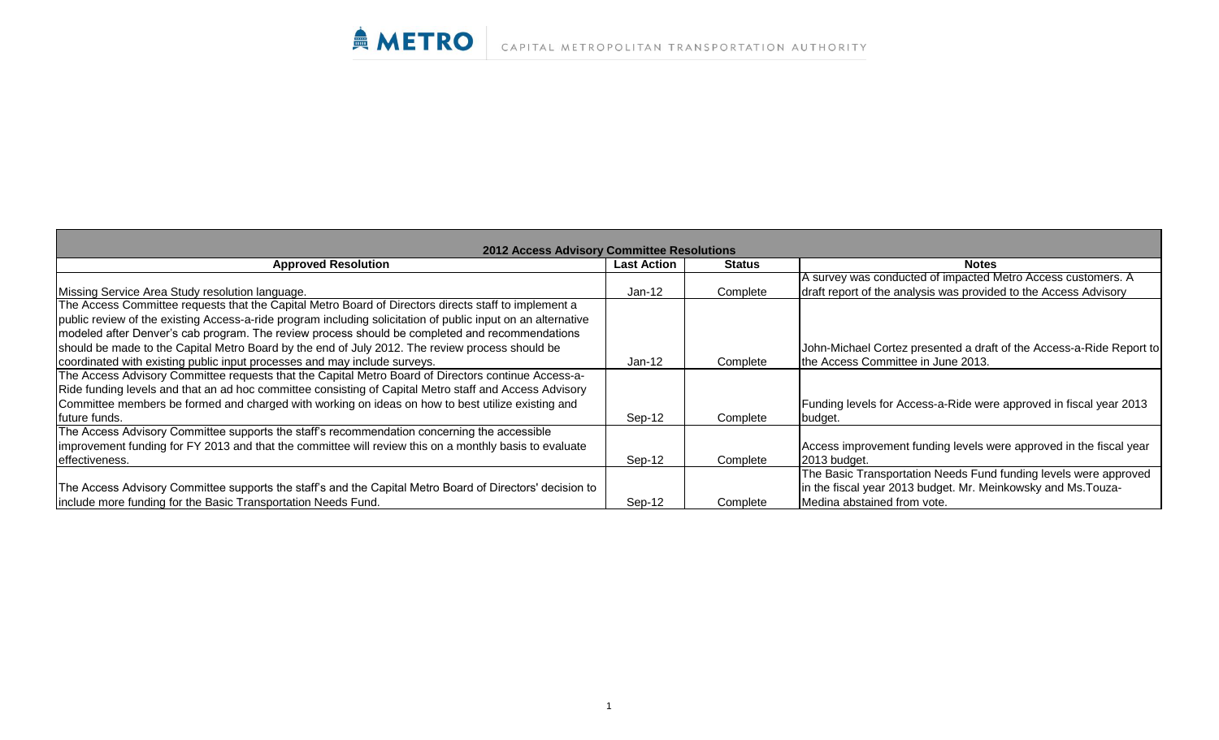| <b>2012 Access Advisory Committee Resolutions</b>                                                            |                    |               |                                                                      |  |  |
|--------------------------------------------------------------------------------------------------------------|--------------------|---------------|----------------------------------------------------------------------|--|--|
| <b>Approved Resolution</b>                                                                                   | <b>Last Action</b> | <b>Status</b> | <b>Notes</b>                                                         |  |  |
|                                                                                                              |                    |               | A survey was conducted of impacted Metro Access customers. A         |  |  |
| Missing Service Area Study resolution language.                                                              | $Jan-12$           | Complete      | draft report of the analysis was provided to the Access Advisory     |  |  |
| The Access Committee requests that the Capital Metro Board of Directors directs staff to implement a         |                    |               |                                                                      |  |  |
| public review of the existing Access-a-ride program including solicitation of public input on an alternative |                    |               |                                                                      |  |  |
| modeled after Denver's cab program. The review process should be completed and recommendations               |                    |               |                                                                      |  |  |
| should be made to the Capital Metro Board by the end of July 2012. The review process should be              |                    |               | John-Michael Cortez presented a draft of the Access-a-Ride Report to |  |  |
| coordinated with existing public input processes and may include surveys.                                    | $Jan-12$           | Complete      | the Access Committee in June 2013.                                   |  |  |
| The Access Advisory Committee requests that the Capital Metro Board of Directors continue Access-a-          |                    |               |                                                                      |  |  |
| Ride funding levels and that an ad hoc committee consisting of Capital Metro staff and Access Advisory       |                    |               |                                                                      |  |  |
| Committee members be formed and charged with working on ideas on how to best utilize existing and            |                    |               | Funding levels for Access-a-Ride were approved in fiscal year 2013   |  |  |
| future funds.                                                                                                | Sep-12             | Complete      | budget.                                                              |  |  |
| The Access Advisory Committee supports the staff's recommendation concerning the accessible                  |                    |               |                                                                      |  |  |
| improvement funding for FY 2013 and that the committee will review this on a monthly basis to evaluate       |                    |               | Access improvement funding levels were approved in the fiscal year   |  |  |
| effectiveness.                                                                                               | Sep-12             | Complete      | 2013 budget.                                                         |  |  |
|                                                                                                              |                    |               | The Basic Transportation Needs Fund funding levels were approved     |  |  |
| The Access Advisory Committee supports the staff's and the Capital Metro Board of Directors' decision to     |                    |               | in the fiscal year 2013 budget. Mr. Meinkowsky and Ms. Touza-        |  |  |
| include more funding for the Basic Transportation Needs Fund.                                                | Sep-12             | Complete      | Medina abstained from vote.                                          |  |  |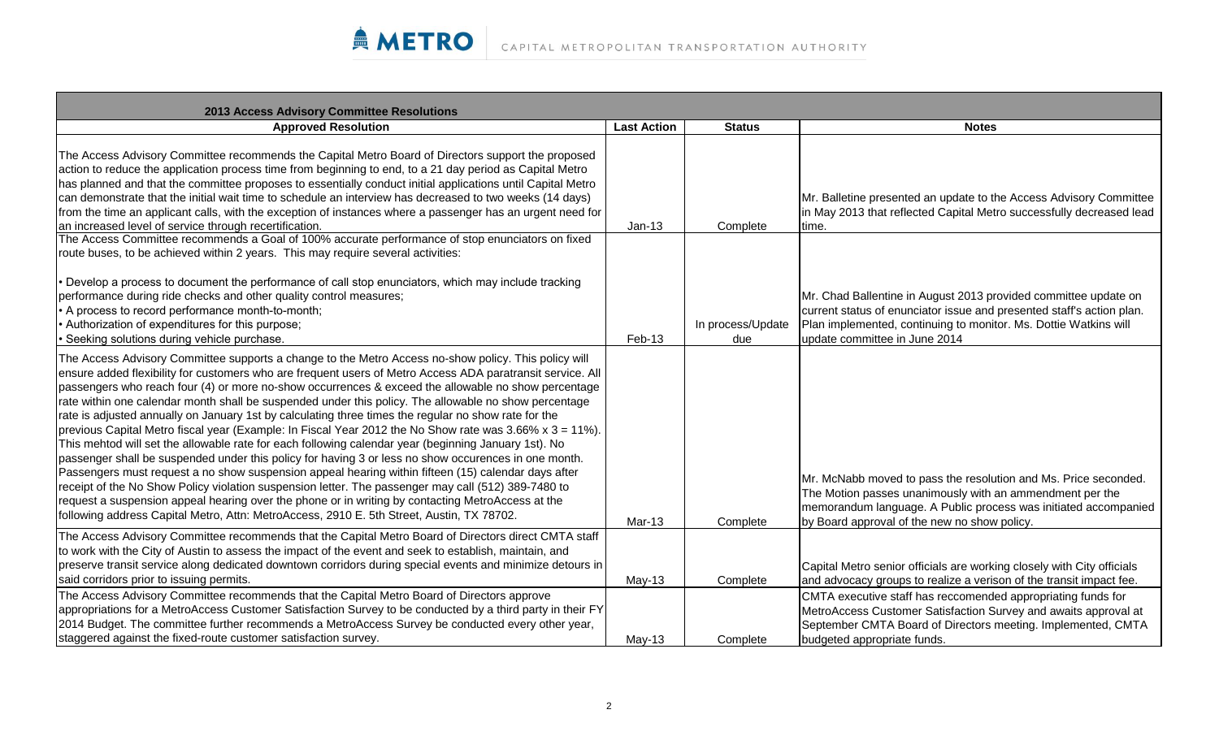| 2013 Access Advisory Committee Resolutions                                                                                                                                                                                                                                                                                                                                                                                                                                                                                                                                                                                                                                                                                                                                                                                                                                                                                                                                                                                                                                                                                                                                                                                                                                            |                    |                          |                                                                                                                                                                                                                                                |
|---------------------------------------------------------------------------------------------------------------------------------------------------------------------------------------------------------------------------------------------------------------------------------------------------------------------------------------------------------------------------------------------------------------------------------------------------------------------------------------------------------------------------------------------------------------------------------------------------------------------------------------------------------------------------------------------------------------------------------------------------------------------------------------------------------------------------------------------------------------------------------------------------------------------------------------------------------------------------------------------------------------------------------------------------------------------------------------------------------------------------------------------------------------------------------------------------------------------------------------------------------------------------------------|--------------------|--------------------------|------------------------------------------------------------------------------------------------------------------------------------------------------------------------------------------------------------------------------------------------|
| <b>Approved Resolution</b>                                                                                                                                                                                                                                                                                                                                                                                                                                                                                                                                                                                                                                                                                                                                                                                                                                                                                                                                                                                                                                                                                                                                                                                                                                                            | <b>Last Action</b> | <b>Status</b>            | <b>Notes</b>                                                                                                                                                                                                                                   |
| The Access Advisory Committee recommends the Capital Metro Board of Directors support the proposed<br>action to reduce the application process time from beginning to end, to a 21 day period as Capital Metro<br>has planned and that the committee proposes to essentially conduct initial applications until Capital Metro<br>can demonstrate that the initial wait time to schedule an interview has decreased to two weeks (14 days)<br>from the time an applicant calls, with the exception of instances where a passenger has an urgent need for<br>an increased level of service through recertification.                                                                                                                                                                                                                                                                                                                                                                                                                                                                                                                                                                                                                                                                     | $Jan-13$           | Complete                 | Mr. Balletine presented an update to the Access Advisory Committee<br>in May 2013 that reflected Capital Metro successfully decreased lead<br>time.                                                                                            |
| The Access Committee recommends a Goal of 100% accurate performance of stop enunciators on fixed                                                                                                                                                                                                                                                                                                                                                                                                                                                                                                                                                                                                                                                                                                                                                                                                                                                                                                                                                                                                                                                                                                                                                                                      |                    |                          |                                                                                                                                                                                                                                                |
| route buses, to be achieved within 2 years. This may require several activities:                                                                                                                                                                                                                                                                                                                                                                                                                                                                                                                                                                                                                                                                                                                                                                                                                                                                                                                                                                                                                                                                                                                                                                                                      |                    |                          |                                                                                                                                                                                                                                                |
| Develop a process to document the performance of call stop enunciators, which may include tracking<br>performance during ride checks and other quality control measures;<br>A process to record performance month-to-month;<br>Authorization of expenditures for this purpose;<br>Seeking solutions during vehicle purchase.                                                                                                                                                                                                                                                                                                                                                                                                                                                                                                                                                                                                                                                                                                                                                                                                                                                                                                                                                          | Feb-13             | In process/Update<br>due | Mr. Chad Ballentine in August 2013 provided committee update on<br>current status of enunciator issue and presented staff's action plan.<br>Plan implemented, continuing to monitor. Ms. Dottie Watkins will<br>update committee in June 2014  |
| The Access Advisory Committee supports a change to the Metro Access no-show policy. This policy will<br>ensure added flexibility for customers who are frequent users of Metro Access ADA paratransit service. All<br>passengers who reach four (4) or more no-show occurrences & exceed the allowable no show percentage<br>rate within one calendar month shall be suspended under this policy. The allowable no show percentage<br>rate is adjusted annually on January 1st by calculating three times the regular no show rate for the<br>previous Capital Metro fiscal year (Example: In Fiscal Year 2012 the No Show rate was 3.66% x 3 = 11%).<br>This mehtod will set the allowable rate for each following calendar year (beginning January 1st). No<br>passenger shall be suspended under this policy for having 3 or less no show occurences in one month.<br>Passengers must request a no show suspension appeal hearing within fifteen (15) calendar days after<br>receipt of the No Show Policy violation suspension letter. The passenger may call (512) 389-7480 to<br>request a suspension appeal hearing over the phone or in writing by contacting MetroAccess at the<br>following address Capital Metro, Attn: MetroAccess, 2910 E. 5th Street, Austin, TX 78702. | Mar-13             | Complete                 | Mr. McNabb moved to pass the resolution and Ms. Price seconded.<br>The Motion passes unanimously with an ammendment per the<br>memorandum language. A Public process was initiated accompanied<br>by Board approval of the new no show policy. |
| The Access Advisory Committee recommends that the Capital Metro Board of Directors direct CMTA staff<br>to work with the City of Austin to assess the impact of the event and seek to establish, maintain, and<br>preserve transit service along dedicated downtown corridors during special events and minimize detours in<br>said corridors prior to issuing permits.                                                                                                                                                                                                                                                                                                                                                                                                                                                                                                                                                                                                                                                                                                                                                                                                                                                                                                               | May-13             | Complete                 | Capital Metro senior officials are working closely with City officials<br>and advocacy groups to realize a verison of the transit impact fee.                                                                                                  |
| The Access Advisory Committee recommends that the Capital Metro Board of Directors approve<br>appropriations for a MetroAccess Customer Satisfaction Survey to be conducted by a third party in their FY<br>2014 Budget. The committee further recommends a MetroAccess Survey be conducted every other year,                                                                                                                                                                                                                                                                                                                                                                                                                                                                                                                                                                                                                                                                                                                                                                                                                                                                                                                                                                         |                    |                          | CMTA executive staff has reccomended appropriating funds for<br>MetroAccess Customer Satisfaction Survey and awaits approval at<br>September CMTA Board of Directors meeting. Implemented, CMTA                                                |
| staggered against the fixed-route customer satisfaction survey.                                                                                                                                                                                                                                                                                                                                                                                                                                                                                                                                                                                                                                                                                                                                                                                                                                                                                                                                                                                                                                                                                                                                                                                                                       | May-13             | Complete                 | budgeted appropriate funds.                                                                                                                                                                                                                    |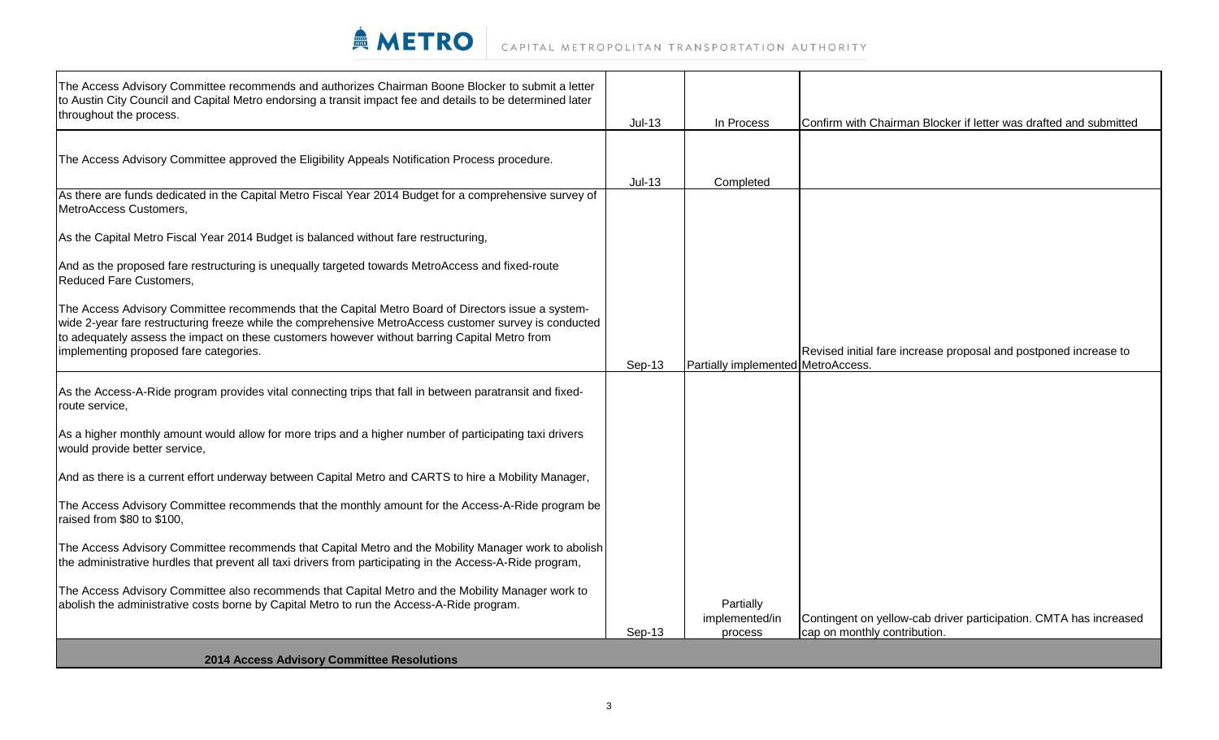

| The Access Advisory Committee recommends and authorizes Chairman Boone Blocker to submit a letter<br>to Austin City Council and Capital Metro endorsing a transit impact fee and details to be determined later<br>throughout the process.                                                                                                              |          |                                    |                                                                   |
|---------------------------------------------------------------------------------------------------------------------------------------------------------------------------------------------------------------------------------------------------------------------------------------------------------------------------------------------------------|----------|------------------------------------|-------------------------------------------------------------------|
|                                                                                                                                                                                                                                                                                                                                                         | $Jul-13$ | In Process                         | Confirm with Chairman Blocker if letter was drafted and submitted |
| The Access Advisory Committee approved the Eligibility Appeals Notification Process procedure.                                                                                                                                                                                                                                                          |          |                                    |                                                                   |
| As there are funds dedicated in the Capital Metro Fiscal Year 2014 Budget for a comprehensive survey of<br>MetroAccess Customers,                                                                                                                                                                                                                       | $Jul-13$ | Completed                          |                                                                   |
| As the Capital Metro Fiscal Year 2014 Budget is balanced without fare restructuring,                                                                                                                                                                                                                                                                    |          |                                    |                                                                   |
| And as the proposed fare restructuring is unequally targeted towards MetroAccess and fixed-route<br><b>Reduced Fare Customers,</b>                                                                                                                                                                                                                      |          |                                    |                                                                   |
| The Access Advisory Committee recommends that the Capital Metro Board of Directors issue a system-<br>wide 2-year fare restructuring freeze while the comprehensive MetroAccess customer survey is conducted<br>to adequately assess the impact on these customers however without barring Capital Metro from<br>implementing proposed fare categories. | Sep-13   | Partially implemented MetroAccess. | Revised initial fare increase proposal and postponed increase to  |
| As the Access-A-Ride program provides vital connecting trips that fall in between paratransit and fixed-<br>route service,                                                                                                                                                                                                                              |          |                                    |                                                                   |
| As a higher monthly amount would allow for more trips and a higher number of participating taxi drivers<br>would provide better service,                                                                                                                                                                                                                |          |                                    |                                                                   |
| And as there is a current effort underway between Capital Metro and CARTS to hire a Mobility Manager,                                                                                                                                                                                                                                                   |          |                                    |                                                                   |
| The Access Advisory Committee recommends that the monthly amount for the Access-A-Ride program be<br>raised from \$80 to \$100,                                                                                                                                                                                                                         |          |                                    |                                                                   |
| The Access Advisory Committee recommends that Capital Metro and the Mobility Manager work to abolish<br>the administrative hurdles that prevent all taxi drivers from participating in the Access-A-Ride program,                                                                                                                                       |          |                                    |                                                                   |
| The Access Advisory Committee also recommends that Capital Metro and the Mobility Manager work to<br>abolish the administrative costs borne by Capital Metro to run the Access-A-Ride program.                                                                                                                                                          |          | Partially<br>implemented/in        | Contingent on yellow-cab driver participation. CMTA has increased |
|                                                                                                                                                                                                                                                                                                                                                         | Sep-13   | process                            | cap on monthly contribution.                                      |
| 2014 Access Advisory Committee Resolutions                                                                                                                                                                                                                                                                                                              |          |                                    |                                                                   |